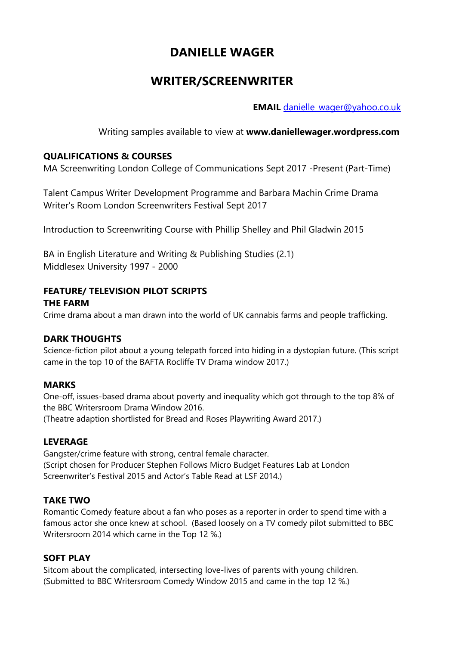# **DANIELLE WAGER**

## **WRITER/SCREENWRITER**

**EMAIL** [danielle\\_wager@yahoo.co.uk](mailto:danielle_wager@yahoo.co.uk)

Writing samples available to view at **www.daniellewager.wordpress.com**

## **QUALIFICATIONS & COURSES**

MA Screenwriting London College of Communications Sept 2017 -Present (Part-Time)

Talent Campus Writer Development Programme and Barbara Machin Crime Drama Writer's Room London Screenwriters Festival Sept 2017

Introduction to Screenwriting Course with Phillip Shelley and Phil Gladwin 2015

BA in English Literature and Writing & Publishing Studies (2.1) Middlesex University 1997 - 2000

## **FEATURE/ TELEVISION PILOT SCRIPTS**

### **THE FARM**

Crime drama about a man drawn into the world of UK cannabis farms and people trafficking.

## **DARK THOUGHTS**

Science-fiction pilot about a young telepath forced into hiding in a dystopian future. (This script came in the top 10 of the BAFTA Rocliffe TV Drama window 2017.)

## **MARKS**

One-off, issues-based drama about poverty and inequality which got through to the top 8% of the BBC Writersroom Drama Window 2016.

(Theatre adaption shortlisted for Bread and Roses Playwriting Award 2017.)

## **LEVERAGE**

Gangster/crime feature with strong, central female character. (Script chosen for Producer Stephen Follows Micro Budget Features Lab at London Screenwriter's Festival 2015 and Actor's Table Read at LSF 2014.)

## **TAKE TWO**

Romantic Comedy feature about a fan who poses as a reporter in order to spend time with a famous actor she once knew at school. (Based loosely on a TV comedy pilot submitted to BBC Writersroom 2014 which came in the Top 12 %.)

## **SOFT PLAY**

Sitcom about the complicated, intersecting love-lives of parents with young children. (Submitted to BBC Writersroom Comedy Window 2015 and came in the top 12 %.)